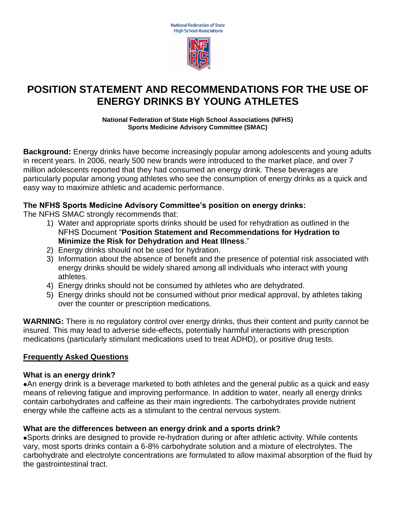

# **POSITION STATEMENT AND RECOMMENDATIONS FOR THE USE OF ENERGY DRINKS BY YOUNG ATHLETES**

**National Federation of State High School Associations (NFHS) Sports Medicine Advisory Committee (SMAC)**

**Background:** Energy drinks have become increasingly popular among adolescents and young adults in recent years. In 2006, nearly 500 new brands were introduced to the market place, and over 7 million adolescents reported that they had consumed an energy drink. These beverages are particularly popular among young athletes who see the consumption of energy drinks as a quick and easy way to maximize athletic and academic performance.

## **The NFHS Sports Medicine Advisory Committee's position on energy drinks:**

The NFHS SMAC strongly recommends that:

- 1) Water and appropriate sports drinks should be used for rehydration as outlined in the NFHS Document "**Position Statement and Recommendations for Hydration to Minimize the Risk for Dehydration and Heat Illness**."
- 2) Energy drinks should not be used for hydration.
- 3) Information about the absence of benefit and the presence of potential risk associated with energy drinks should be widely shared among all individuals who interact with young athletes.
- 4) Energy drinks should not be consumed by athletes who are dehydrated.
- 5) Energy drinks should not be consumed without prior medical approval, by athletes taking over the counter or prescription medications.

**WARNING:** There is no regulatory control over energy drinks, thus their content and purity cannot be insured. This may lead to adverse side-effects, potentially harmful interactions with prescription medications (particularly stimulant medications used to treat ADHD), or positive drug tests.

#### **Frequently Asked Questions**

#### **What is an energy drink?**

An energy drink is a beverage marketed to both athletes and the general public as a quick and easy means of relieving fatigue and improving performance. In addition to water, nearly all energy drinks contain carbohydrates and caffeine as their main ingredients. The carbohydrates provide nutrient energy while the caffeine acts as a stimulant to the central nervous system.

#### **What are the differences between an energy drink and a sports drink?**

Sports drinks are designed to provide re-hydration during or after athletic activity. While contents vary, most sports drinks contain a 6-8% carbohydrate solution and a mixture of electrolytes. The carbohydrate and electrolyte concentrations are formulated to allow maximal absorption of the fluid by the gastrointestinal tract.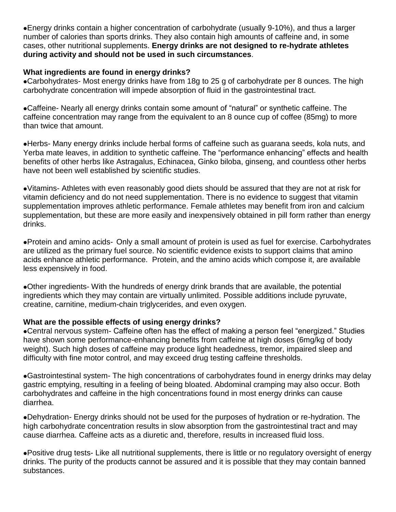Energy drinks contain a higher concentration of carbohydrate (usually 9-10%), and thus a larger number of calories than sports drinks. They also contain high amounts of caffeine and, in some cases, other nutritional supplements. **Energy drinks are not designed to re-hydrate athletes during activity and should not be used in such circumstances**.

#### **What ingredients are found in energy drinks?**

Carbohydrates- Most energy drinks have from 18g to 25 g of carbohydrate per 8 ounces. The high carbohydrate concentration will impede absorption of fluid in the gastrointestinal tract.

Caffeine- Nearly all energy drinks contain some amount of "natural" or synthetic caffeine. The caffeine concentration may range from the equivalent to an 8 ounce cup of coffee (85mg) to more than twice that amount.

Herbs- Many energy drinks include herbal forms of caffeine such as guarana seeds, kola nuts, and Yerba mate leaves, in addition to synthetic caffeine. The "performance enhancing" effects and health benefits of other herbs like Astragalus, Echinacea, Ginko biloba, ginseng, and countless other herbs have not been well established by scientific studies.

Vitamins- Athletes with even reasonably good diets should be assured that they are not at risk for vitamin deficiency and do not need supplementation. There is no evidence to suggest that vitamin supplementation improves athletic performance. Female athletes may benefit from iron and calcium supplementation, but these are more easily and inexpensively obtained in pill form rather than energy drinks.

Protein and amino acids- Only a small amount of protein is used as fuel for exercise. Carbohydrates are utilized as the primary fuel source. No scientific evidence exists to support claims that amino acids enhance athletic performance. Protein, and the amino acids which compose it, are available less expensively in food.

Other ingredients- With the hundreds of energy drink brands that are available, the potential ingredients which they may contain are virtually unlimited. Possible additions include pyruvate, creatine, carnitine, medium-chain triglycerides, and even oxygen.

#### **What are the possible effects of using energy drinks?**

Central nervous system- Caffeine often has the effect of making a person feel "energized." Studies have shown some performance-enhancing benefits from caffeine at high doses (6mg/kg of body weight). Such high doses of caffeine may produce light headedness, tremor, impaired sleep and difficulty with fine motor control, and may exceed drug testing caffeine thresholds.

Gastrointestinal system- The high concentrations of carbohydrates found in energy drinks may delay gastric emptying, resulting in a feeling of being bloated. Abdominal cramping may also occur. Both carbohydrates and caffeine in the high concentrations found in most energy drinks can cause diarrhea.

Dehydration- Energy drinks should not be used for the purposes of hydration or re-hydration. The high carbohydrate concentration results in slow absorption from the gastrointestinal tract and may cause diarrhea. Caffeine acts as a diuretic and, therefore, results in increased fluid loss.

Positive drug tests- Like all nutritional supplements, there is little or no regulatory oversight of energy drinks. The purity of the products cannot be assured and it is possible that they may contain banned substances.